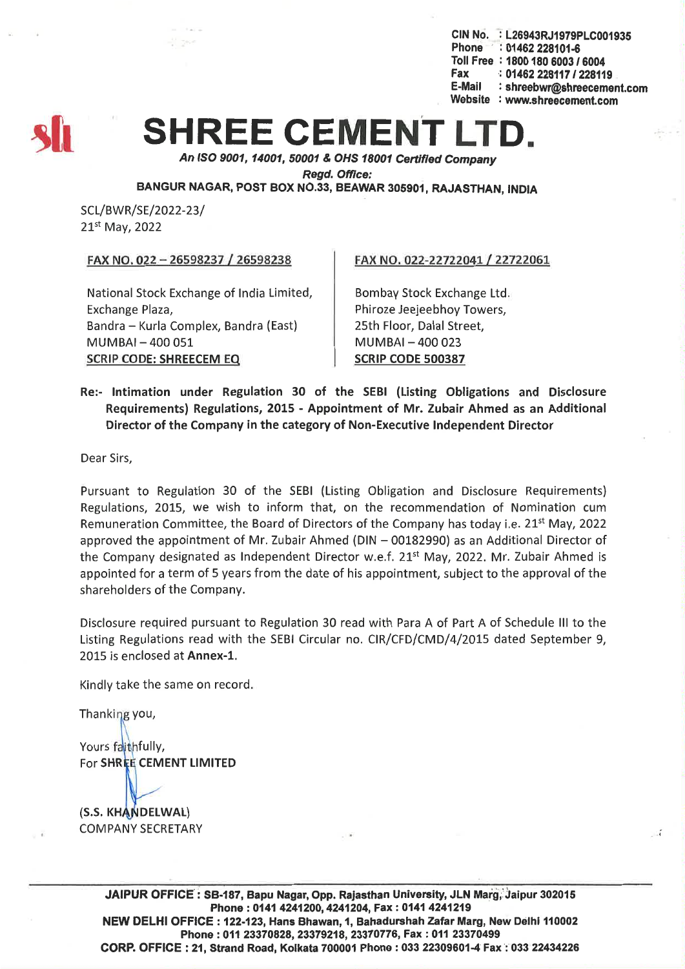CIN No. : L26943RJ1979PLC001935<br>Phone : 01462 228101-6  $P: 01462228101 - 6$ Toll Free: 1800 180 6003 / 6004 Fax: 01462 228117 / 228119<br>E-Mail: shreebwr@shreeceme : shreebwr@shreecement.com Website : www.shreecement.com



## **SHREE CEMENT L**

*An ISO 9001, 14001,50001* & *OHS 18001 Certified Company*

*Regd. Office:*

BANGUR NAGAR, POST BOX NO.33, BEAWAR 305901, RAJASTHAN, INDIA

SCL/BWR/SE/2022-23/ 21st May, 2022

FAX NO. 022 - 26598237/26598238

FAX NO. 022-22722041/22722061

National Stock Exchange of India Limited, Exchange Plaza, Bandra - Kurla Complex, Bandra (East) MUMBAI-400051 SCRIP CODE: SHREECEM EQ

Bombay Stock Exchange Ltd. Phiroze Jeejeebhoy Towers, 25th Floor, Dalal Street,  $MUMBAI - 400023$ SCRIP CODE 500387

## Re:- Intimation under Regulation 30 of the SEBI (Listing Obligations and Disclosure Requirements) Regulations, 2015 - Appointment of Mr. Zubair Ahmed as an Additional Director of the Company in the category of Non-Executive Independent Director

Dear Sirs,

Pursuant to Regulation 30 of the SEBI (Listing Obligation and Disclosure Requirements) Regulations, 2015, we wish to inform that, on the recommendation of Nomination cum Remuneration Committee, the Board of Directors of the Company has today i.e. 21<sup>st</sup> May, 2022 approved the appointment of Mr. Zubair Ahmed (DIN - 00182990) as an Additional Director of the Company designated as Independent Director w.e.f.  $21^{st}$  May, 2022. Mr. Zubair Ahmed is appointed for a term of 5 years from the date of his appointment, subject to the approval of the shareholders of the Company.

Disclosure required pursuant to Regulation 30 read with Para A of Part A of Schedule III to the Listing Regulations read with the SEBI Circular no. CIR/CFD/CMD/4/2015 dated September 9, 2015 is enclosed at Annex-l.

Kindly take the same on record.

Thanking you,

Yours faithfully, For SHREE CEMENT LIMITED

(S.S. KHANDELWAL) COMPANY SECRETARY , ,

JAIPUR OFFICE: SB-187, Bapu Nagar, Opp. Rajasthan University, JLN Marg, Jaipur 302015 Phone: 0141 4241200,4241204, Fax: 0141 4241219 NEW DELHI OFFICE: 122-123, Hans Bhawan, 1, Bahadurshah Zafar Marg, New Delhi 110002 Phone: 01123370828,23379218,23370776, Fax: 011 23370499 CORP. OFFICE: 21, Strand Road, Kolkata 700001 Phone: 033 22309601-4 Fax': 033 22434226